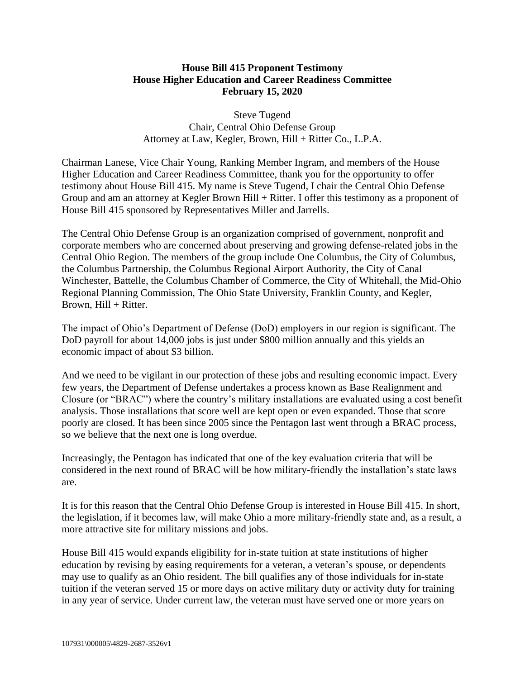## **House Bill 415 Proponent Testimony House Higher Education and Career Readiness Committee February 15, 2020**

Steve Tugend Chair, Central Ohio Defense Group Attorney at Law, Kegler, Brown, Hill + Ritter Co., L.P.A.

Chairman Lanese, Vice Chair Young, Ranking Member Ingram, and members of the House Higher Education and Career Readiness Committee, thank you for the opportunity to offer testimony about House Bill 415. My name is Steve Tugend, I chair the Central Ohio Defense Group and am an attorney at Kegler Brown Hill + Ritter. I offer this testimony as a proponent of House Bill 415 sponsored by Representatives Miller and Jarrells.

The Central Ohio Defense Group is an organization comprised of government, nonprofit and corporate members who are concerned about preserving and growing defense-related jobs in the Central Ohio Region. The members of the group include One Columbus, the City of Columbus, the Columbus Partnership, the Columbus Regional Airport Authority, the City of Canal Winchester, Battelle, the Columbus Chamber of Commerce, the City of Whitehall, the Mid-Ohio Regional Planning Commission, The Ohio State University, Franklin County, and Kegler, Brown, Hill + Ritter.

The impact of Ohio's Department of Defense (DoD) employers in our region is significant. The DoD payroll for about 14,000 jobs is just under \$800 million annually and this yields an economic impact of about \$3 billion.

And we need to be vigilant in our protection of these jobs and resulting economic impact. Every few years, the Department of Defense undertakes a process known as Base Realignment and Closure (or "BRAC") where the country's military installations are evaluated using a cost benefit analysis. Those installations that score well are kept open or even expanded. Those that score poorly are closed. It has been since 2005 since the Pentagon last went through a BRAC process, so we believe that the next one is long overdue.

Increasingly, the Pentagon has indicated that one of the key evaluation criteria that will be considered in the next round of BRAC will be how military-friendly the installation's state laws are.

It is for this reason that the Central Ohio Defense Group is interested in House Bill 415. In short, the legislation, if it becomes law, will make Ohio a more military-friendly state and, as a result, a more attractive site for military missions and jobs.

House Bill 415 would expands eligibility for in-state tuition at state institutions of higher education by revising by easing requirements for a veteran, a veteran's spouse, or dependents may use to qualify as an Ohio resident. The bill qualifies any of those individuals for in-state tuition if the veteran served 15 or more days on active military duty or activity duty for training in any year of service. Under current law, the veteran must have served one or more years on